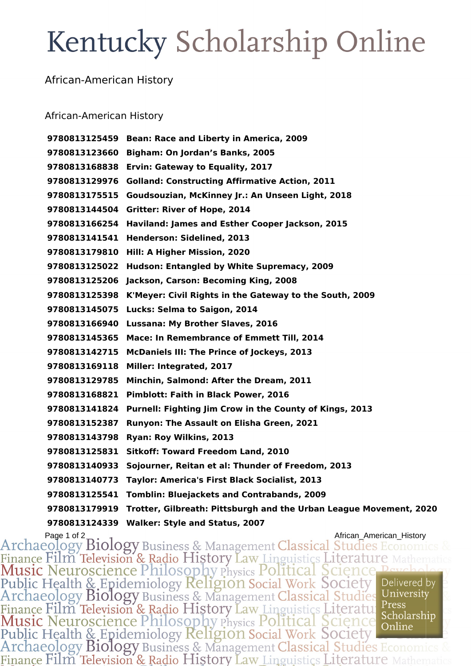## Kentucky Scholarship Online

## African-American History

## African-American History

 **Bean: Race and Liberty in America, 2009 Bigham: On Jordan's Banks, 2005 Ervin: Gateway to Equality, 2017 Golland: Constructing Affirmative Action, 2011 Goudsouzian, McKinney Jr.: An Unseen Light, 2018 Gritter: River of Hope, 2014 Haviland: James and Esther Cooper Jackson, 2015 Henderson: Sidelined, 2013 Hill: A Higher Mission, 2020 Hudson: Entangled by White Supremacy, 2009 Jackson, Carson: Becoming King, 2008 K'Meyer: Civil Rights in the Gateway to the South, 2009 Lucks: Selma to Saigon, 2014 Lussana: My Brother Slaves, 2016 Mace: In Remembrance of Emmett Till, 2014 McDaniels III: The Prince of Jockeys, 2013 Miller: Integrated, 2017 Minchin, Salmond: After the Dream, 2011 Pimblott: Faith in Black Power, 2016 Purnell: Fighting Jim Crow in the County of Kings, 2013 Runyon: The Assault on Elisha Green, 2021 Ryan: Roy Wilkins, 2013 Sitkoff: Toward Freedom Land, 2010 Sojourner, Reitan et al: Thunder of Freedom, 2013 Taylor: America's First Black Socialist, 2013 Tomblin: Bluejackets and Contrabands, 2009 Trotter, Gilbreath: Pittsburgh and the Urban League Movement, 2020 Walker: Style and Status, 2007**

Page 1 of 2<br>Archaeology Biology Business & Management Classical Studies Economics Finance Film Television & Radio History Law Linguistics Literature Mathematic Music Neuroscience Philosophy Physics Political Science Public Health & Epidemiology Religion Social Work Society Delivered b Delivered by Press Finance Film Television & Radio History Law Linguistics Literatu. Scholarship **Music Neuroscience Philosophy Physics Political Science** Online Public Health & Epidemiology Religion Social Work Society Archaeology Biology Business & Management Classical Studies Ecor Finance Film Television & Radio History Law Linguistics Literature